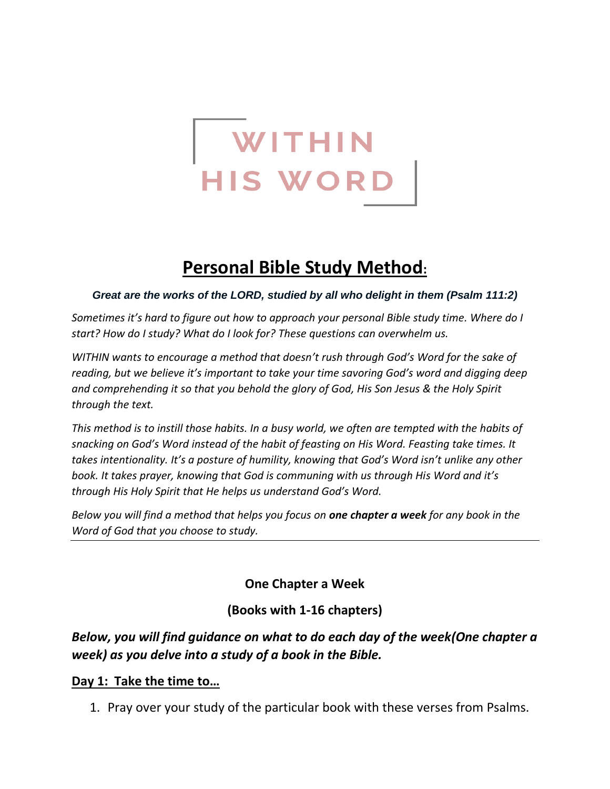

# **Personal Bible Study Method:**

#### *Great are the works of the LORD, studied by all who delight in them (Psalm 111:2)*

*Sometimes it's hard to figure out how to approach your personal Bible study time. Where do I start? How do I study? What do I look for? These questions can overwhelm us.*

*WITHIN wants to encourage a method that doesn't rush through God's Word for the sake of reading, but we believe it's important to take your time savoring God's word and digging deep and comprehending it so that you behold the glory of God, His Son Jesus & the Holy Spirit through the text.*

*This method is to instill those habits. In a busy world, we often are tempted with the habits of snacking on God's Word instead of the habit of feasting on His Word. Feasting take times. It takes intentionality. It's a posture of humility, knowing that God's Word isn't unlike any other book. It takes prayer, knowing that God is communing with us through His Word and it's through His Holy Spirit that He helps us understand God's Word.* 

*Below you will find a method that helps you focus on one chapter a week for any book in the Word of God that you choose to study.*

**One Chapter a Week**

## **(Books with 1-16 chapters)**

# *Below, you will find guidance on what to do each day of the week(One chapter a week) as you delve into a study of a book in the Bible.*

#### **Day 1: Take the time to…**

1. Pray over your study of the particular book with these verses from Psalms.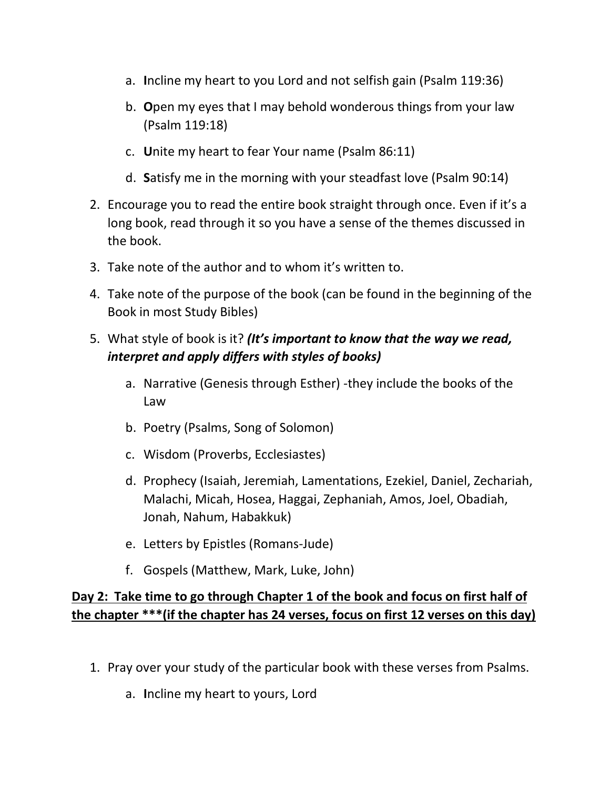- a. **I**ncline my heart to you Lord and not selfish gain (Psalm 119:36)
- b. **O**pen my eyes that I may behold wonderous things from your law (Psalm 119:18)
- c. **U**nite my heart to fear Your name (Psalm 86:11)
- d. **S**atisfy me in the morning with your steadfast love (Psalm 90:14)
- 2. Encourage you to read the entire book straight through once. Even if it's a long book, read through it so you have a sense of the themes discussed in the book.
- 3. Take note of the author and to whom it's written to.
- 4. Take note of the purpose of the book (can be found in the beginning of the Book in most Study Bibles)
- 5. What style of book is it? *(It's important to know that the way we read, interpret and apply differs with styles of books)*
	- a. Narrative (Genesis through Esther) -they include the books of the Law
	- b. Poetry (Psalms, Song of Solomon)
	- c. Wisdom (Proverbs, Ecclesiastes)
	- d. Prophecy (Isaiah, Jeremiah, Lamentations, Ezekiel, Daniel, Zechariah, Malachi, Micah, Hosea, Haggai, Zephaniah, Amos, Joel, Obadiah, Jonah, Nahum, Habakkuk)
	- e. Letters by Epistles (Romans-Jude)
	- f. Gospels (Matthew, Mark, Luke, John)

# **Day 2: Take time to go through Chapter 1 of the book and focus on first half of the chapter \*\*\*(if the chapter has 24 verses, focus on first 12 verses on this day)**

- 1. Pray over your study of the particular book with these verses from Psalms.
	- a. **I**ncline my heart to yours, Lord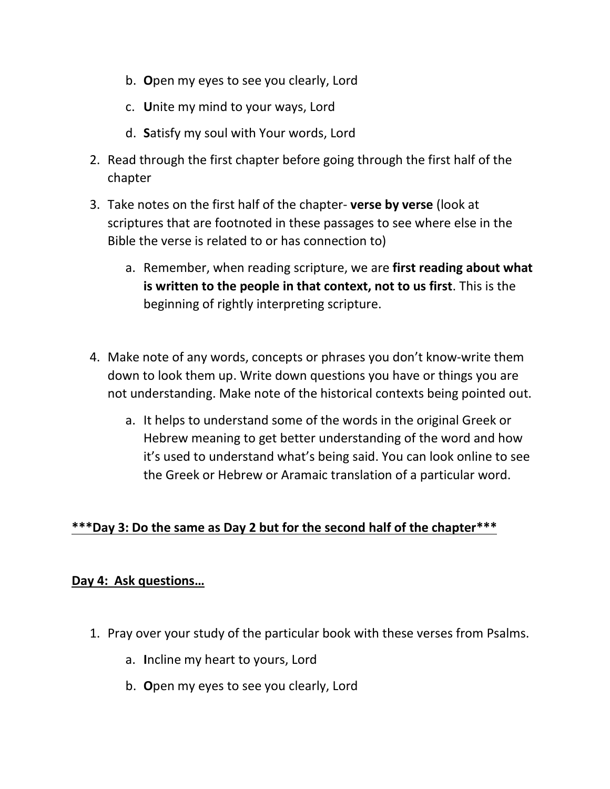- b. **O**pen my eyes to see you clearly, Lord
- c. **U**nite my mind to your ways, Lord
- d. **S**atisfy my soul with Your words, Lord
- 2. Read through the first chapter before going through the first half of the chapter
- 3. Take notes on the first half of the chapter- **verse by verse** (look at scriptures that are footnoted in these passages to see where else in the Bible the verse is related to or has connection to)
	- a. Remember, when reading scripture, we are **first reading about what is written to the people in that context, not to us first**. This is the beginning of rightly interpreting scripture.
- 4. Make note of any words, concepts or phrases you don't know-write them down to look them up. Write down questions you have or things you are not understanding. Make note of the historical contexts being pointed out.
	- a. It helps to understand some of the words in the original Greek or Hebrew meaning to get better understanding of the word and how it's used to understand what's being said. You can look online to see the Greek or Hebrew or Aramaic translation of a particular word.

## **\*\*\*Day 3: Do the same as Day 2 but for the second half of the chapter\*\*\***

#### **Day 4: Ask questions…**

- 1. Pray over your study of the particular book with these verses from Psalms.
	- a. **I**ncline my heart to yours, Lord
	- b. **O**pen my eyes to see you clearly, Lord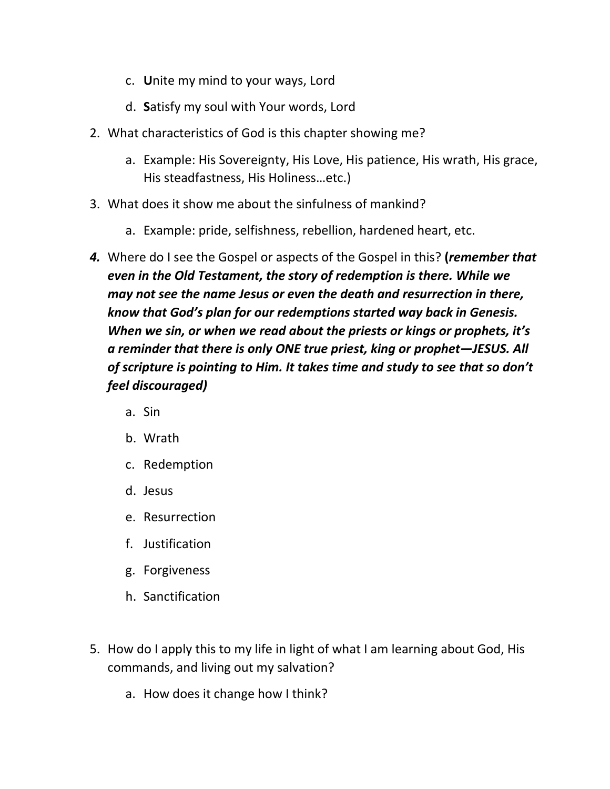- c. **U**nite my mind to your ways, Lord
- d. **S**atisfy my soul with Your words, Lord
- 2. What characteristics of God is this chapter showing me?
	- a. Example: His Sovereignty, His Love, His patience, His wrath, His grace, His steadfastness, His Holiness…etc.)
- 3. What does it show me about the sinfulness of mankind?
	- a. Example: pride, selfishness, rebellion, hardened heart, etc.
- *4.* Where do I see the Gospel or aspects of the Gospel in this? **(***remember that even in the Old Testament, the story of redemption is there. While we may not see the name Jesus or even the death and resurrection in there, know that God's plan for our redemptions started way back in Genesis. When we sin, or when we read about the priests or kings or prophets, it's a reminder that there is only ONE true priest, king or prophet—JESUS. All of scripture is pointing to Him. It takes time and study to see that so don't feel discouraged)*
	- a. Sin
	- b. Wrath
	- c. Redemption
	- d. Jesus
	- e. Resurrection
	- f. Justification
	- g. Forgiveness
	- h. Sanctification
- 5. How do I apply this to my life in light of what I am learning about God, His commands, and living out my salvation?
	- a. How does it change how I think?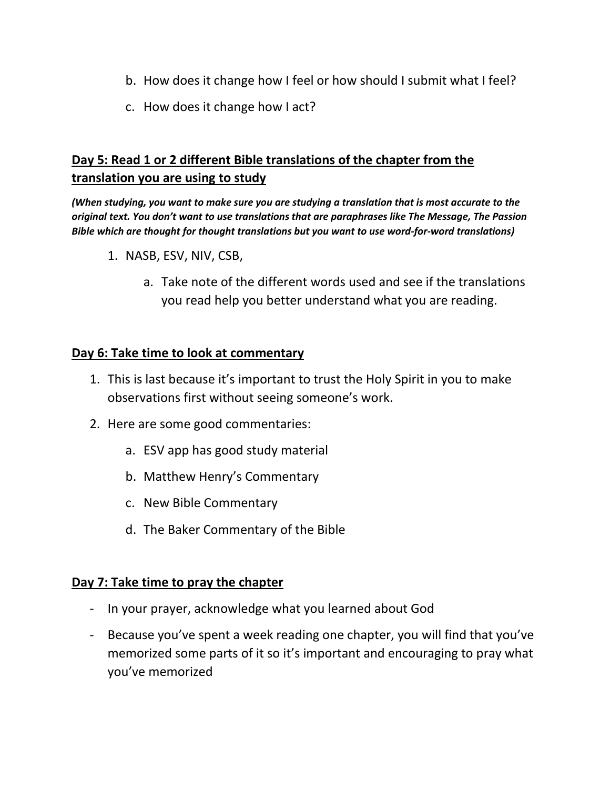- b. How does it change how I feel or how should I submit what I feel?
- c. How does it change how I act?

# **Day 5: Read 1 or 2 different Bible translations of the chapter from the translation you are using to study**

*(When studying, you want to make sure you are studying a translation that is most accurate to the original text. You don't want to use translations that are paraphrases like The Message, The Passion Bible which are thought for thought translations but you want to use word-for-word translations)*

- 1. NASB, ESV, NIV, CSB,
	- a. Take note of the different words used and see if the translations you read help you better understand what you are reading.

#### **Day 6: Take time to look at commentary**

- 1. This is last because it's important to trust the Holy Spirit in you to make observations first without seeing someone's work.
- 2. Here are some good commentaries:
	- a. ESV app has good study material
	- b. Matthew Henry's Commentary
	- c. New Bible Commentary
	- d. The Baker Commentary of the Bible

## **Day 7: Take time to pray the chapter**

- In your prayer, acknowledge what you learned about God
- Because you've spent a week reading one chapter, you will find that you've memorized some parts of it so it's important and encouraging to pray what you've memorized